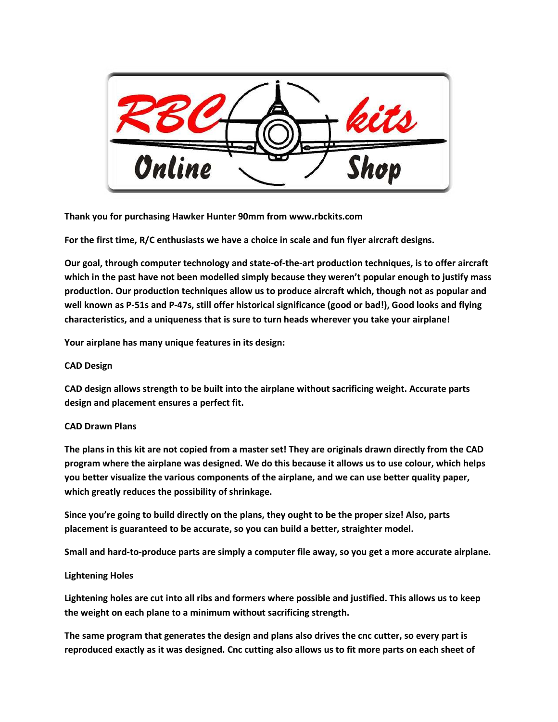

**Thank you for purchasing Hawker Hunter 90mm from www.rbckits.com**

**For the first time, R/C enthusiasts we have a choice in scale and fun flyer aircraft designs.** 

**Our goal, through computer technology and state-of-the-art production techniques, is to offer aircraft which in the past have not been modelled simply because they weren't popular enough to justify mass production. Our production techniques allow us to produce aircraft which, though not as popular and well known as P-51s and P-47s, still offer historical significance (good or bad!), Good looks and flying characteristics, and a uniqueness that is sure to turn heads wherever you take your airplane!**

**Your airplane has many unique features in its design:**

## **CAD Design**

**CAD design allows strength to be built into the airplane without sacrificing weight. Accurate parts design and placement ensures a perfect fit.**

## **CAD Drawn Plans**

**The plans in this kit are not copied from a master set! They are originals drawn directly from the CAD program where the airplane was designed. We do this because it allows us to use colour, which helps you better visualize the various components of the airplane, and we can use better quality paper, which greatly reduces the possibility of shrinkage.**

**Since you're going to build directly on the plans, they ought to be the proper size! Also, parts placement is guaranteed to be accurate, so you can build a better, straighter model.**

**Small and hard-to-produce parts are simply a computer file away, so you get a more accurate airplane.**

## **Lightening Holes**

**Lightening holes are cut into all ribs and formers where possible and justified. This allows us to keep the weight on each plane to a minimum without sacrificing strength.**

**The same program that generates the design and plans also drives the cnc cutter, so every part is reproduced exactly as it was designed. Cnc cutting also allows us to fit more parts on each sheet of**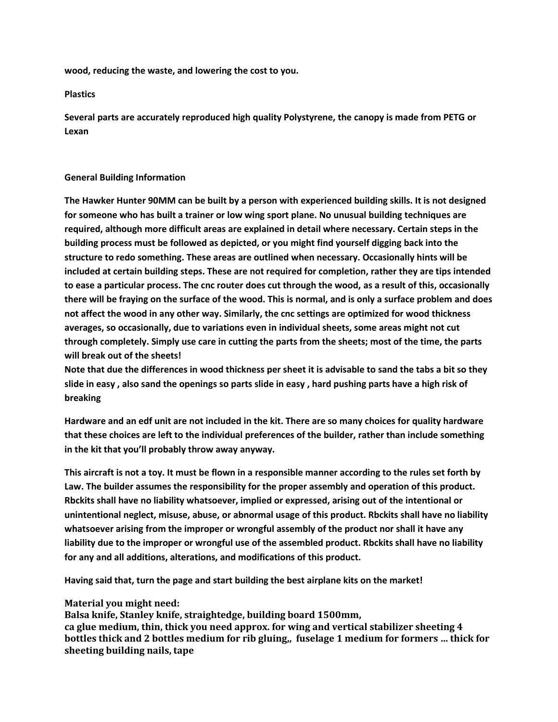**wood, reducing the waste, and lowering the cost to you.**

**Plastics**

**Several parts are accurately reproduced high quality Polystyrene, the canopy is made from PETG or Lexan**

#### **General Building Information**

**The Hawker Hunter 90MM can be built by a person with experienced building skills. It is not designed for someone who has built a trainer or low wing sport plane. No unusual building techniques are required, although more difficult areas are explained in detail where necessary. Certain steps in the building process must be followed as depicted, or you might find yourself digging back into the structure to redo something. These areas are outlined when necessary. Occasionally hints will be included at certain building steps. These are not required for completion, rather they are tips intended to ease a particular process. The cnc router does cut through the wood, as a result of this, occasionally there will be fraying on the surface of the wood. This is normal, and is only a surface problem and does not affect the wood in any other way. Similarly, the cnc settings are optimized for wood thickness averages, so occasionally, due to variations even in individual sheets, some areas might not cut through completely. Simply use care in cutting the parts from the sheets; most of the time, the parts will break out of the sheets!** 

**Note that due the differences in wood thickness per sheet it is advisable to sand the tabs a bit so they slide in easy , also sand the openings so parts slide in easy , hard pushing parts have a high risk of breaking**

**Hardware and an edf unit are not included in the kit. There are so many choices for quality hardware that these choices are left to the individual preferences of the builder, rather than include something in the kit that you'll probably throw away anyway.** 

**This aircraft is not a toy. It must be flown in a responsible manner according to the rules set forth by Law. The builder assumes the responsibility for the proper assembly and operation of this product. Rbckits shall have no liability whatsoever, implied or expressed, arising out of the intentional or unintentional neglect, misuse, abuse, or abnormal usage of this product. Rbckits shall have no liability whatsoever arising from the improper or wrongful assembly of the product nor shall it have any liability due to the improper or wrongful use of the assembled product. Rbckits shall have no liability for any and all additions, alterations, and modifications of this product.**

**Having said that, turn the page and start building the best airplane kits on the market!** 

## **Material you might need:**

**Balsa knife, Stanley knife, straightedge, building board 1500mm, ca glue medium, thin, thick you need approx. for wing and vertical stabilizer sheeting 4 bottles thick and 2 bottles medium for rib gluing,, fuselage 1 medium for formers … thick for sheeting building nails, tape**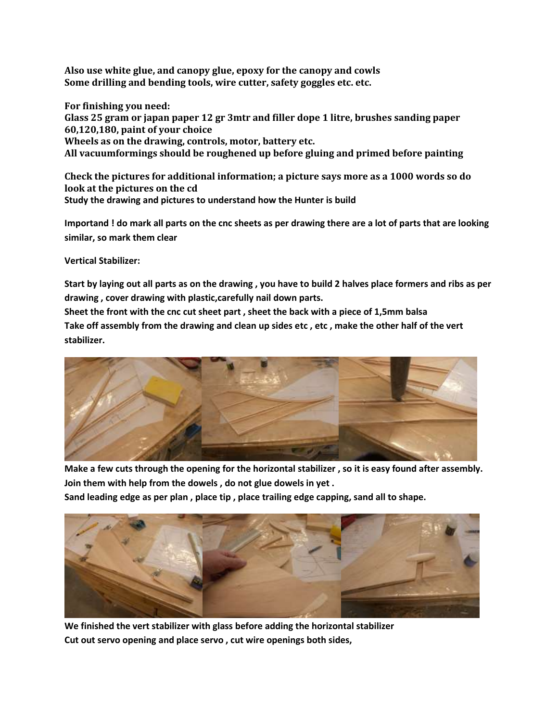**Also use white glue, and canopy glue, epoxy for the canopy and cowls Some drilling and bending tools, wire cutter, safety goggles etc. etc.**

**For finishing you need: Glass 25 gram or japan paper 12 gr 3mtr and filler dope 1 litre, brushes sanding paper 60,120,180, paint of your choice Wheels as on the drawing, controls, motor, battery etc. All vacuumformings should be roughened up before gluing and primed before painting**

**Check the pictures for additional information; a picture says more as a 1000 words so do look at the pictures on the cd Study the drawing and pictures to understand how the Hunter is build** 

**Importand ! do mark all parts on the cnc sheets as per drawing there are a lot of parts that are looking similar, so mark them clear**

**Vertical Stabilizer:**

**Start by laying out all parts as on the drawing , you have to build 2 halves place formers and ribs as per drawing , cover drawing with plastic,carefully nail down parts.**

**Sheet the front with the cnc cut sheet part , sheet the back with a piece of 1,5mm balsa Take off assembly from the drawing and clean up sides etc , etc , make the other half of the vert stabilizer.**



**Make a few cuts through the opening for the horizontal stabilizer , so it is easy found after assembly. Join them with help from the dowels , do not glue dowels in yet .**

**Sand leading edge as per plan , place tip , place trailing edge capping, sand all to shape.**



**We finished the vert stabilizer with glass before adding the horizontal stabilizer Cut out servo opening and place servo , cut wire openings both sides,**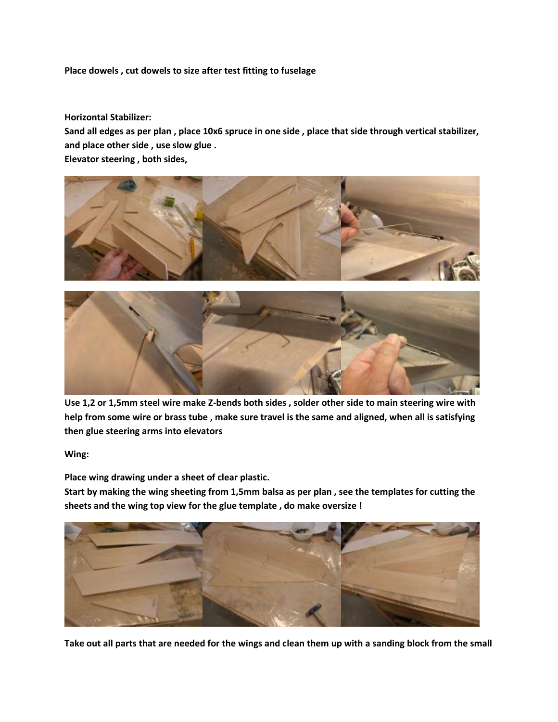# **Place dowels , cut dowels to size after test fitting to fuselage**

#### **Horizontal Stabilizer:**

**Sand all edges as per plan , place 10x6 spruce in one side , place that side through vertical stabilizer, and place other side , use slow glue .**

**Elevator steering , both sides,** 



**Use 1,2 or 1,5mm steel wire make Z-bends both sides , solder other side to main steering wire with help from some wire or brass tube , make sure travel is the same and aligned, when all is satisfying then glue steering arms into elevators** 

**Wing:**

**Place wing drawing under a sheet of clear plastic.**

**Start by making the wing sheeting from 1,5mm balsa as per plan , see the templates for cutting the sheets and the wing top view for the glue template , do make oversize !**



**Take out all parts that are needed for the wings and clean them up with a sanding block from the small**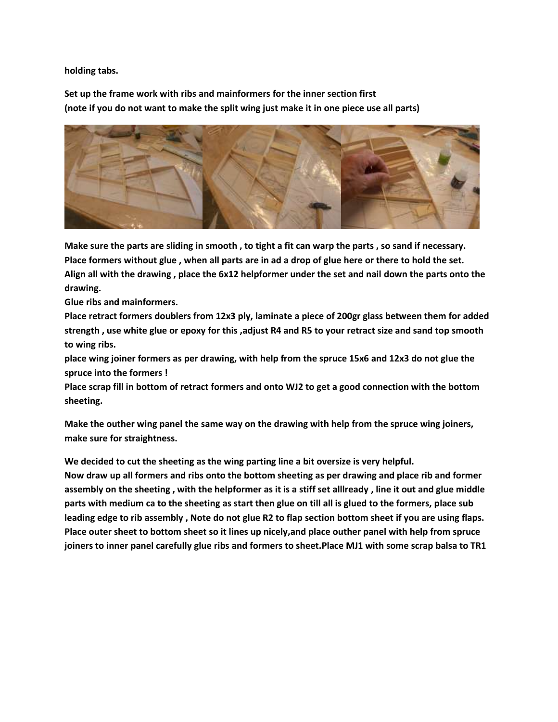**holding tabs.**

**Set up the frame work with ribs and mainformers for the inner section first (note if you do not want to make the split wing just make it in one piece use all parts)**



**Make sure the parts are sliding in smooth , to tight a fit can warp the parts , so sand if necessary. Place formers without glue , when all parts are in ad a drop of glue here or there to hold the set. Align all with the drawing , place the 6x12 helpformer under the set and nail down the parts onto the drawing.**

**Glue ribs and mainformers.**

**Place retract formers doublers from 12x3 ply, laminate a piece of 200gr glass between them for added strength , use white glue or epoxy for this ,adjust R4 and R5 to your retract size and sand top smooth to wing ribs.**

**place wing joiner formers as per drawing, with help from the spruce 15x6 and 12x3 do not glue the spruce into the formers !**

**Place scrap fill in bottom of retract formers and onto WJ2 to get a good connection with the bottom sheeting.**

**Make the outher wing panel the same way on the drawing with help from the spruce wing joiners, make sure for straightness.**

**We decided to cut the sheeting as the wing parting line a bit oversize is very helpful.**

**Now draw up all formers and ribs onto the bottom sheeting as per drawing and place rib and former assembly on the sheeting , with the helpformer as it is a stiff set alllready , line it out and glue middle parts with medium ca to the sheeting as start then glue on till all is glued to the formers, place sub leading edge to rib assembly , Note do not glue R2 to flap section bottom sheet if you are using flaps. Place outer sheet to bottom sheet so it lines up nicely,and place outher panel with help from spruce joiners to inner panel carefully glue ribs and formers to sheet.Place MJ1 with some scrap balsa to TR1**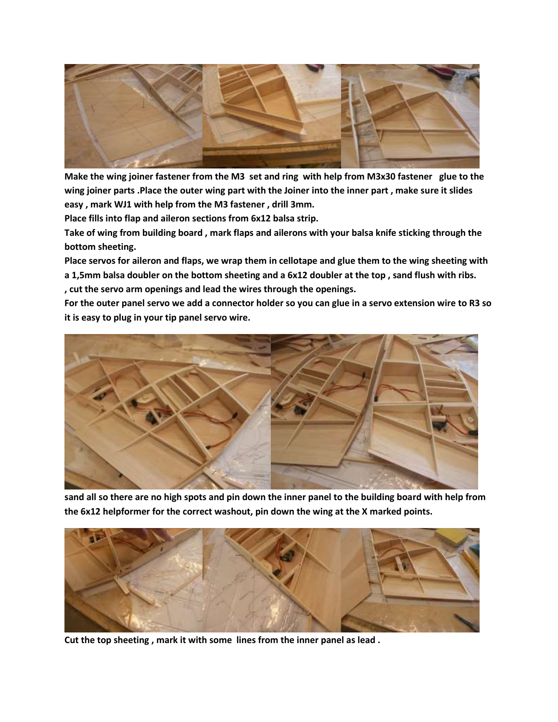

**Make the wing joiner fastener from the M3 set and ring with help from M3x30 fastener glue to the wing joiner parts .Place the outer wing part with the Joiner into the inner part , make sure it slides easy , mark WJ1 with help from the M3 fastener , drill 3mm.**

**Place fills into flap and aileron sections from 6x12 balsa strip.**

**Take of wing from building board , mark flaps and ailerons with your balsa knife sticking through the bottom sheeting.**

**Place servos for aileron and flaps, we wrap them in cellotape and glue them to the wing sheeting with a 1,5mm balsa doubler on the bottom sheeting and a 6x12 doubler at the top , sand flush with ribs. , cut the servo arm openings and lead the wires through the openings.**

**For the outer panel servo we add a connector holder so you can glue in a servo extension wire to R3 so it is easy to plug in your tip panel servo wire.**



**sand all so there are no high spots and pin down the inner panel to the building board with help from the 6x12 helpformer for the correct washout, pin down the wing at the X marked points.**



**Cut the top sheeting , mark it with some lines from the inner panel as lead .**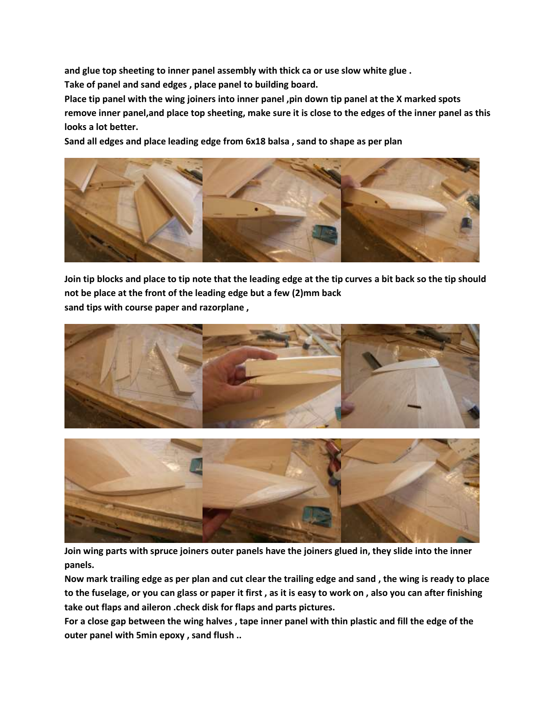**and glue top sheeting to inner panel assembly with thick ca or use slow white glue .**

**Take of panel and sand edges , place panel to building board.**

**Place tip panel with the wing joiners into inner panel ,pin down tip panel at the X marked spots remove inner panel,and place top sheeting, make sure it is close to the edges of the inner panel as this looks a lot better.**

**Sand all edges and place leading edge from 6x18 balsa , sand to shape as per plan**



**Join tip blocks and place to tip note that the leading edge at the tip curves a bit back so the tip should not be place at the front of the leading edge but a few (2)mm back sand tips with course paper and razorplane ,** 





**Join wing parts with spruce joiners outer panels have the joiners glued in, they slide into the inner panels.**

**Now mark trailing edge as per plan and cut clear the trailing edge and sand , the wing is ready to place to the fuselage, or you can glass or paper it first , as it is easy to work on , also you can after finishing take out flaps and aileron .check disk for flaps and parts pictures.**

**For a close gap between the wing halves , tape inner panel with thin plastic and fill the edge of the outer panel with 5min epoxy , sand flush ..**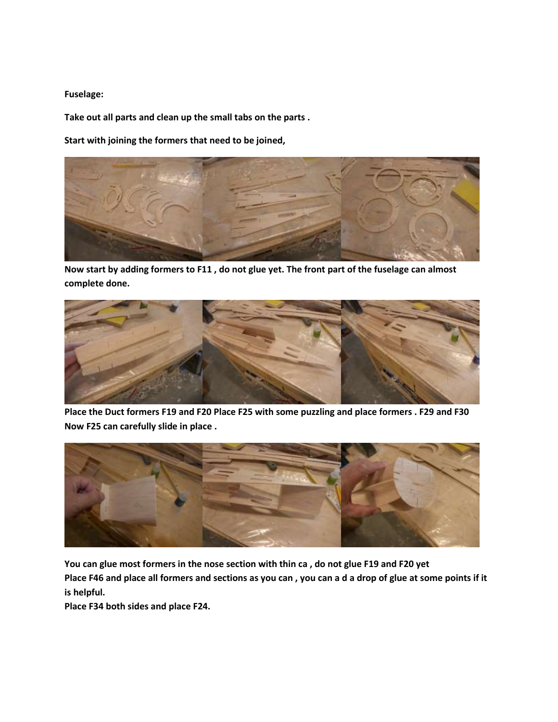#### **Fuselage:**

**Take out all parts and clean up the small tabs on the parts .**

**Start with joining the formers that need to be joined,** 



**Now start by adding formers to F11 , do not glue yet. The front part of the fuselage can almost complete done.**



**Place the Duct formers F19 and F20 Place F25 with some puzzling and place formers . F29 and F30 Now F25 can carefully slide in place .**



**You can glue most formers in the nose section with thin ca , do not glue F19 and F20 yet Place F46 and place all formers and sections as you can , you can a d a drop of glue at some points if it is helpful.**

**Place F34 both sides and place F24.**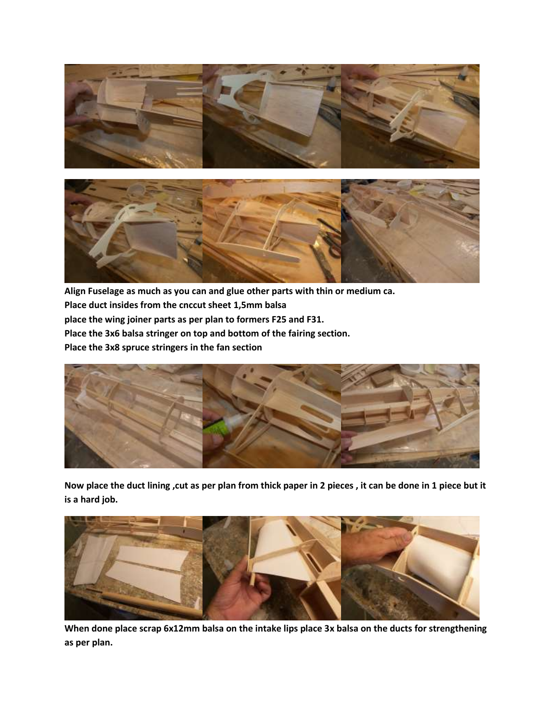



**Align Fuselage as much as you can and glue other parts with thin or medium ca. Place duct insides from the cnccut sheet 1,5mm balsa place the wing joiner parts as per plan to formers F25 and F31. Place the 3x6 balsa stringer on top and bottom of the fairing section. Place the 3x8 spruce stringers in the fan section**



**Now place the duct lining ,cut as per plan from thick paper in 2 pieces , it can be done in 1 piece but it is a hard job.**



**When done place scrap 6x12mm balsa on the intake lips place 3x balsa on the ducts for strengthening as per plan.**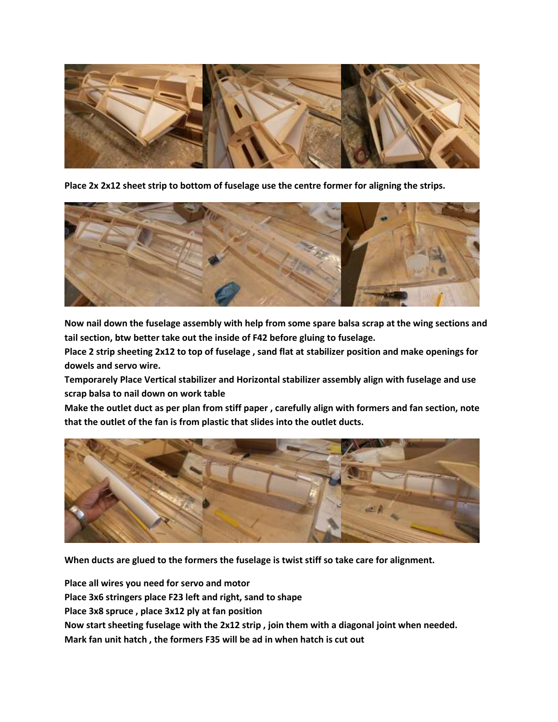

**Place 2x 2x12 sheet strip to bottom of fuselage use the centre former for aligning the strips.**



**Now nail down the fuselage assembly with help from some spare balsa scrap at the wing sections and tail section, btw better take out the inside of F42 before gluing to fuselage.**

**Place 2 strip sheeting 2x12 to top of fuselage , sand flat at stabilizer position and make openings for dowels and servo wire.**

**Temporarely Place Vertical stabilizer and Horizontal stabilizer assembly align with fuselage and use scrap balsa to nail down on work table** 

**Make the outlet duct as per plan from stiff paper , carefully align with formers and fan section, note that the outlet of the fan is from plastic that slides into the outlet ducts.**



**When ducts are glued to the formers the fuselage is twist stiff so take care for alignment.**

**Place all wires you need for servo and motor Place 3x6 stringers place F23 left and right, sand to shape Place 3x8 spruce , place 3x12 ply at fan position Now start sheeting fuselage with the 2x12 strip , join them with a diagonal joint when needed. Mark fan unit hatch , the formers F35 will be ad in when hatch is cut out**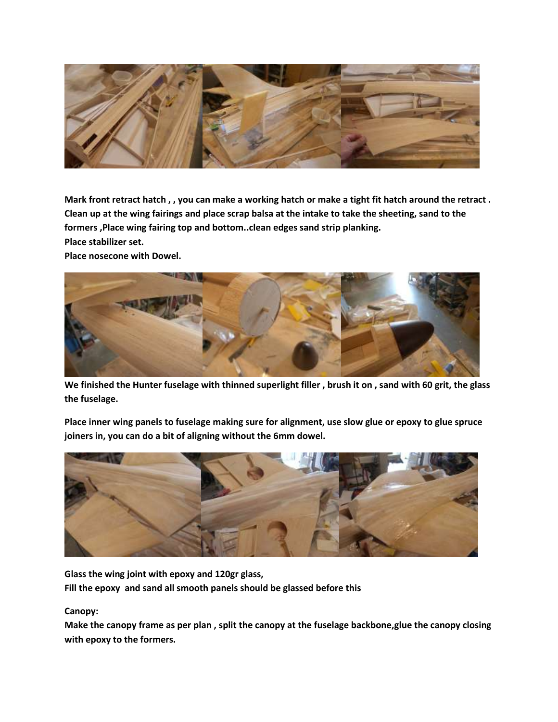

**Mark front retract hatch , , you can make a working hatch or make a tight fit hatch around the retract . Clean up at the wing fairings and place scrap balsa at the intake to take the sheeting, sand to the formers ,Place wing fairing top and bottom..clean edges sand strip planking. Place stabilizer set.**

**Place nosecone with Dowel.**



**We finished the Hunter fuselage with thinned superlight filler , brush it on , sand with 60 grit, the glass the fuselage.**

**Place inner wing panels to fuselage making sure for alignment, use slow glue or epoxy to glue spruce joiners in, you can do a bit of aligning without the 6mm dowel.**



**Glass the wing joint with epoxy and 120gr glass, Fill the epoxy and sand all smooth panels should be glassed before this**

**Canopy:**

**Make the canopy frame as per plan , split the canopy at the fuselage backbone,glue the canopy closing with epoxy to the formers.**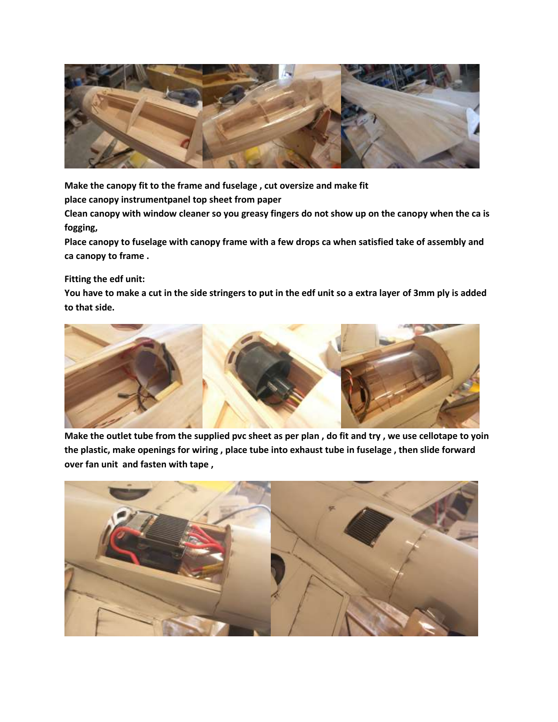

**Make the canopy fit to the frame and fuselage , cut oversize and make fit** 

**place canopy instrumentpanel top sheet from paper** 

**Clean canopy with window cleaner so you greasy fingers do not show up on the canopy when the ca is fogging,** 

**Place canopy to fuselage with canopy frame with a few drops ca when satisfied take of assembly and ca canopy to frame .** 

# **Fitting the edf unit:**

**You have to make a cut in the side stringers to put in the edf unit so a extra layer of 3mm ply is added to that side.**



**Make the outlet tube from the supplied pvc sheet as per plan , do fit and try , we use cellotape to yoin the plastic, make openings for wiring , place tube into exhaust tube in fuselage , then slide forward over fan unit and fasten with tape ,**

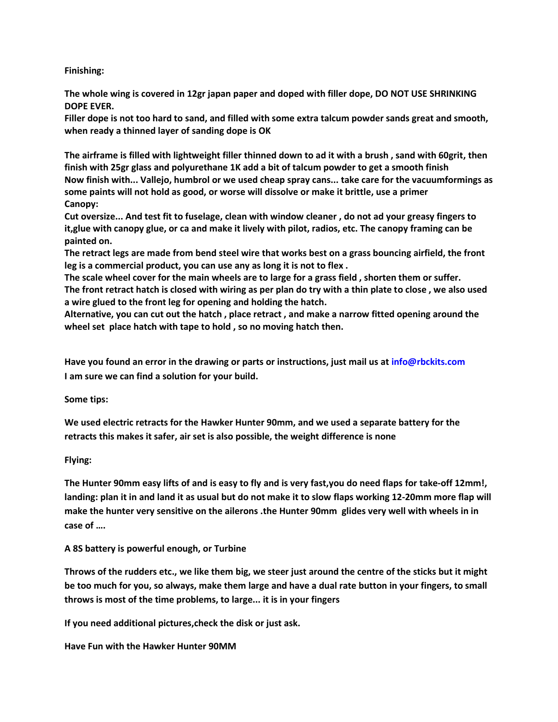# **Finishing:**

**The whole wing is covered in 12gr japan paper and doped with filler dope, DO NOT USE SHRINKING DOPE EVER.** 

**Filler dope is not too hard to sand, and filled with some extra talcum powder sands great and smooth, when ready a thinned layer of sanding dope is OK**

**The airframe is filled with lightweight filler thinned down to ad it with a brush , sand with 60grit, then finish with 25gr glass and polyurethane 1K add a bit of talcum powder to get a smooth finish Now finish with... Vallejo, humbrol or we used cheap spray cans... take care for the vacuumformings as some paints will not hold as good, or worse will dissolve or make it brittle, use a primer Canopy:**

**Cut oversize... And test fit to fuselage, clean with window cleaner , do not ad your greasy fingers to it,glue with canopy glue, or ca and make it lively with pilot, radios, etc. The canopy framing can be painted on.**

**The retract legs are made from bend steel wire that works best on a grass bouncing airfield, the front leg is a commercial product, you can use any as long it is not to flex .**

**The scale wheel cover for the main wheels are to large for a grass field , shorten them or suffer. The front retract hatch is closed with wiring as per plan do try with a thin plate to close , we also used a wire glued to the front leg for opening and holding the hatch.**

**Alternative, you can cut out the hatch , place retract , and make a narrow fitted opening around the wheel set place hatch with tape to hold , so no moving hatch then.**

**Have you found an error in the drawing or parts or instructions, just mail us a[t info@rbckits.com](mailto:info@rbckits.com) [I am sure we can find a solution for your build.](mailto:info@rbckits.com)**

**Some tips:**

**We used electric retracts for the Hawker Hunter 90mm, and we used a separate battery for the retracts this makes it safer, air set is also possible, the weight difference is none**

**Flying:**

**The Hunter 90mm easy lifts of and is easy to fly and is very fast,you do need flaps for take-off 12mm!, landing: plan it in and land it as usual but do not make it to slow flaps working 12-20mm more flap will make the hunter very sensitive on the ailerons .the Hunter 90mm glides very well with wheels in in case of ….**

# **A 8S battery is powerful enough, or Turbine**

**Throws of the rudders etc., we like them big, we steer just around the centre of the sticks but it might be too much for you, so always, make them large and have a dual rate button in your fingers, to small throws is most of the time problems, to large... it is in your fingers**

**If you need additional pictures,check the disk or just ask.**

**Have Fun with the Hawker Hunter 90MM**